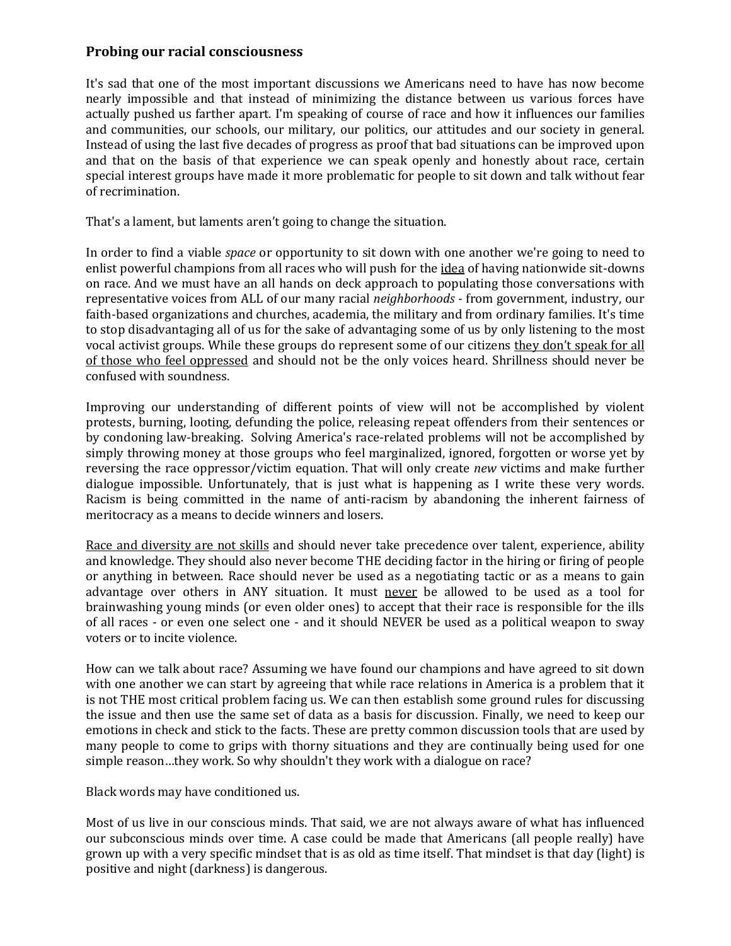## **Probing our racial consciousness**

It's sad that one of the most important discussions we Americans need to have has now become nearly impossible and that instead of minimizing the distance between us various forces have actually pushed us farther apart. I'm speaking of course of race and how it influences our families and communities, our schools, our military, our politics, our attitudes and our society in general. Instead of using the last five decades of progress as proof that bad situations can be improved upon and that on the basis of that experience we can speak openly and honestly about race, certain special interest groups have made it more problematic for people to sit down and talk without fear of recrimination.

That's a lament, but laments aren't going to change the situation.

In order to find a viable *space* or opportunity to sit down with one another we're going to need to enlist powerful champions from all races who will push for the *idea* of having nationwide sit-downs on race. And we must have an all hands on deck approach to populating those conversations with representative voices from ALL of our many racial *neighborhoods* - from government, industry, our faith-based organizations and churches, academia, the military and from ordinary families. It's time to stop disadvantaging all of us for the sake of advantaging some of us by only listening to the most vocal activist groups. While these groups do represent some of our citizens they don't speak for all of those who feel oppressed and should not be the only voices heard. Shrillness should never be confused with soundness.

Improving our understanding of different points of view will not be accomplished by violent protests, burning, looting, defunding the police, releasing repeat offenders from their sentences or by condoning law-breaking. Solving America's race-related problems will not be accomplished by simply throwing money at those groups who feel marginalized, ignored, forgotten or worse yet by reversing the race oppressor/victim equation. That will only create *new* victims and make further dialogue impossible. Unfortunately, that is just what is happening as I write these very words. Racism is being committed in the name of anti-racism by abandoning the inherent fairness of meritocracy as a means to decide winners and losers.

Race and diversity are not skills and should never take precedence over talent, experience, ability and knowledge. They should also never become THE deciding factor in the hiring or firing of people or anything in between. Race should never be used as a negotiating tactic or as a means to gain advantage over others in ANY situation. It must never be allowed to be used as a tool for brainwashing young minds (or even older ones) to accept that their race is responsible for the ills of all races - or even one select one - and it should NEVER be used as a political weapon to sway voters or to incite violence.

How can we talk about race? Assuming we have found our champions and have agreed to sit down with one another we can start by agreeing that while race relations in America is a problem that it is not THE most critical problem facing us. We can then establish some ground rules for discussing the issue and then use the same set of data as a basis for discussion. Finally, we need to keep our emotions in check and stick to the facts. These are pretty common discussion tools that are used by many people to come to grips with thorny situations and they are continually being used for one simple reason…they work. So why shouldn't they work with a dialogue on race?

Black words may have conditioned us.

Most of us live in our conscious minds. That said, we are not always aware of what has influenced our subconscious minds over time. A case could be made that Americans (all people really) have grown up with a very specific mindset that is as old as time itself. That mindset is that day (light) is positive and night (darkness) is dangerous.